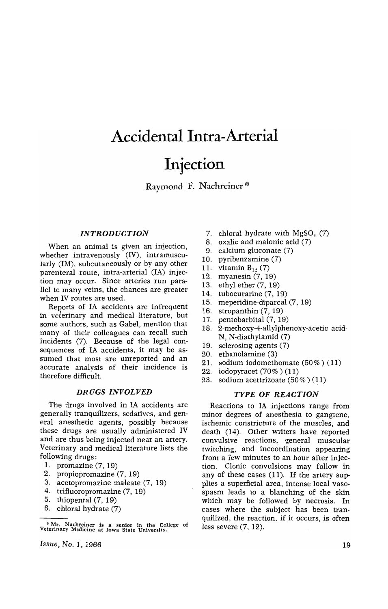# **Accidental Intra-Arterial**

# **Injection**

Raymond F. Nachreiner \*

#### *INTRODUCTION*

When an animal is given an injection, whether intravenously (IV), intramuscularly (1M), subcutaneously or by any other parenteral route, intra-arterial (IA) injection may occur. Since arteries run parallel to many veins, the chances are greater when IV routes are used.

Reports of IA accidents are infrequent in veterinary and medical literature, but some authors, such as Gabel, mention that many of their colleagues can recall such incidents (7). Because of the legal consequences of IA accidents, it may be assumed that most are unreported and an accurate analysis of their incidence is therefore difficult.

#### *DRUGS INVOLVED*

The drugs involved in IA accidents are generally tranquilizers, sedatives, and general anesthetic agents, possibly because these drugs are usually administered IV and are thus being injected near an artery. Veterinary and medical literature lists the following drugs:

- 1. promazine (7, 19)
- 2. propiopromazine (7, 19)
- 3. acetopromazine maleate (7, 19)
- 4. trifluoropromazine (7, 19)
- 5. thiopental (7, 19)
- 6. chloral hydrate (7)

*Issue, No.1, 1966* 

- 7. chloral hydrate with  $MgSO<sub>4</sub>$  (7)
- 8. oxalic and malonic acid (7)
- 9. calcium gluconate (7)
- 10. pyribenzamine (7)
- 11. vitamin  $B_{12}$  (7)
- 12. myanesin (7, 19)
- 13. ethyl ether (7, 19)
- 14. tubocurarine (7, 19)
- 15. meperidine-diparcal (7, 19)
- 16. stropanthin (7, 19)
- 17. pentobarbital (7, 19)
- 18. 2-methoxy-4-allylphenoxy-acetic acid-N, N-diathylamid (7)
- 19. sclerosing agents (7)
- 20. ethanolamine (3)
- 21. sodium iodomethomate (50%) (11)
- 22. iodopyracet (70%) (11)
- 23. sodium acettrizoate (50% ) (11)

# *TYPE* OF *REACTION*

Reactions to IA injections range from minor degrees of anesthesia to gangrene, ischemic constricture of the muscles, and death (14). Other writers have reported convulsive reactions, general muscular twitching, and incoordination appearing from a few minutes to an hour after injection. Clonic convulsions may follow in any of these cases (11). If the artery supplies a superficial area, intense local vasospasm leads to a blanching of the skin which may be followed by necrosis. In cases where the subject has been tranquilized, the reaction, if it occurs, is often less severe (7, 12).

<sup>•</sup> Mr. Nachreiner is a senior in the College of Veterinary Medicine at Iowa State University.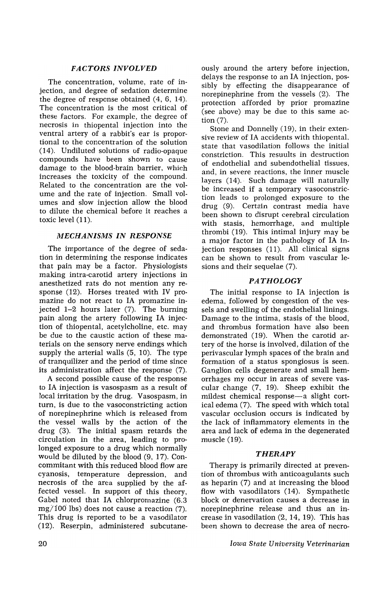# *FACTORS INVOLVED*

The concentration, volume, rate of injection, and degree of sedation determine the degree of response obtained (4, 6, 14). The concentration is the most critical of these factors. For example, the degree of necrosis in thiopental injection into the ventral artery of a rabbit's ear is proportional to the concentration of the solution (14). Undiluted solutions of radio-opaque compounds have been shown to cause damage to the blood-brain barrier, which increases the toxicity of the compound. Related to the concentration are the volume and the rate of injection. Small volumes and slow injection allow the blood to dilute the chemical before it reaches a toxic level (11).

### *MECHANISMS IN RESPONSE*

The importance of the degree of sedation in determining the response indicates that pain may be a factor. Physiologists making intra-carotid artery injections in anesthetized rats do not mention any response (12). Horses treated with IV promazine do not react to IA promazine injected 1-2 hours later (7). The burning pain along the artery following IA injection of thiopental, acetylcholine, etc. may be due to the caustic action of these materials on the sensory nerve endings which supply the arterial walls (5, 10). The type of tranquilizer and the period of time since its administration affect the response (7).

A second possible cause of the response to IA injection is vasospasm as a result of local irritation by the drug. Vasospasm, in turn, is due to the vasoconstricting action of norepinephrine which is released from the vessel walls by the action of the drug (3). The initial spasm retards the circulation in the area, leading to prolonged exposure to a drug which normally would be diluted by the blood (9, 17). Concommitant with this reduced blood flow are cyanosis, temperature depression, and necrosis of the area supplied by the affected vessel. In support of this theory, Gabel noted that IA chlorpromazine (6.3  $mg/100$  lbs) does not cause a reaction  $(7)$ . This drug is reported to be a vasodilator (12). Reserpin, administered subcutaneously around the artery before injection, delays the response to an IA injection, possibly by effecting the disappearance of norepinephrine from the vessels (2). The protection afforded by prior promazine (see above) may be due to this same action (7).

Stone and Donnelly (19), in their extensive review of IA accidents with thiopental, state that vasodilation follows the initial constriction. This resuults in destruction of endothelial and subendothelial tissues, and, in severe reactions, the inner muscle layers (14). Such damage will naturally be increased if a temporary vasoconstriction leads to prolonged exposure to the drug (9). Certain contrast media have been shown to disrupt cerebral circulation with stasis, hemorrhage, and multiple thrombi (19). This intimal injury may be a major factor in the pathology of IA injection responses (11). All clinical signs can be shown to result from vascular lesions and their sequelae (7).

# *PATHOLOGY*

The initial response to IA injection is edema, followed by congestion of the vessels and swelling of the endothelial linings. Damage to the intima, stasis of the blood, and thrombus formation have also been demonstrated (19). When the carotid artery of the horse is involved, dilation of the perivascular lymph spaces of the brain and formation of a status spongiosus is seen. Ganglion cells degenerate and small hemorrhages my occur in areas of severe vascular change (7, 19). Sheep exhibit the mildest chemical response—a slight cortical edema (7). The speed with which total vascular occlusion occurs is indicated by the lack of inflammatory elements in the area and lack of edema in the degenerated muscle (19).

# *THERAPY*

Therapy is primarily directed at prevention of thrombus with anticoagulants such as heparin (7) and at increasing the blood flow with vasodilators (14). Sympathetic block or denervation causes a decrease in norepinephrine release and thus an increase in vasodilation (2, 14, 19). This has been shown to decrease the area of necro-